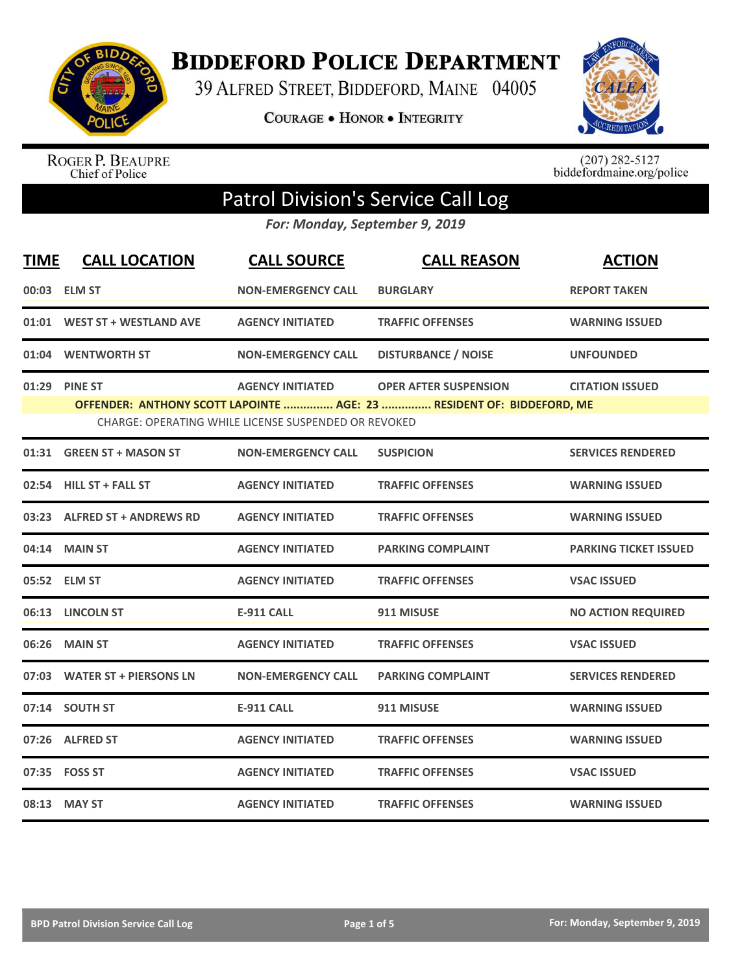

**BIDDEFORD POLICE DEPARTMENT** 

39 ALFRED STREET, BIDDEFORD, MAINE 04005

**COURAGE . HONOR . INTEGRITY** 



ROGER P. BEAUPRE<br>Chief of Police

 $(207)$  282-5127<br>biddefordmaine.org/police

## Patrol Division's Service Call Log

*For: Monday, September 9, 2019*

| <b>TIME</b> | <b>CALL LOCATION</b>         | <b>CALL SOURCE</b>                                                              | <b>CALL REASON</b>                                                                                    | <b>ACTION</b>                |
|-------------|------------------------------|---------------------------------------------------------------------------------|-------------------------------------------------------------------------------------------------------|------------------------------|
|             | 00:03 ELM ST                 | <b>NON-EMERGENCY CALL</b>                                                       | <b>BURGLARY</b>                                                                                       | <b>REPORT TAKEN</b>          |
|             | 01:01 WEST ST + WESTLAND AVE | <b>AGENCY INITIATED</b>                                                         | <b>TRAFFIC OFFENSES</b>                                                                               | <b>WARNING ISSUED</b>        |
|             | 01:04 WENTWORTH ST           | <b>NON-EMERGENCY CALL</b>                                                       | <b>DISTURBANCE / NOISE</b>                                                                            | <b>UNFOUNDED</b>             |
|             | 01:29 PINE ST                | <b>AGENCY INITIATED</b><br>CHARGE: OPERATING WHILE LICENSE SUSPENDED OR REVOKED | <b>OPER AFTER SUSPENSION</b><br>OFFENDER: ANTHONY SCOTT LAPOINTE  AGE: 23  RESIDENT OF: BIDDEFORD, ME | <b>CITATION ISSUED</b>       |
|             | 01:31 GREEN ST + MASON ST    | <b>NON-EMERGENCY CALL</b>                                                       | <b>SUSPICION</b>                                                                                      | <b>SERVICES RENDERED</b>     |
|             | 02:54 HILL ST + FALL ST      | <b>AGENCY INITIATED</b>                                                         | <b>TRAFFIC OFFENSES</b>                                                                               | <b>WARNING ISSUED</b>        |
|             | 03:23 ALFRED ST + ANDREWS RD | <b>AGENCY INITIATED</b>                                                         | <b>TRAFFIC OFFENSES</b>                                                                               | <b>WARNING ISSUED</b>        |
|             | 04:14 MAIN ST                | <b>AGENCY INITIATED</b>                                                         | <b>PARKING COMPLAINT</b>                                                                              | <b>PARKING TICKET ISSUED</b> |
|             | 05:52 ELM ST                 | <b>AGENCY INITIATED</b>                                                         | <b>TRAFFIC OFFENSES</b>                                                                               | <b>VSAC ISSUED</b>           |
|             | 06:13 LINCOLN ST             | <b>E-911 CALL</b>                                                               | 911 MISUSE                                                                                            | <b>NO ACTION REQUIRED</b>    |
|             | 06:26 MAIN ST                | <b>AGENCY INITIATED</b>                                                         | <b>TRAFFIC OFFENSES</b>                                                                               | <b>VSAC ISSUED</b>           |
|             | 07:03 WATER ST + PIERSONS LN | <b>NON-EMERGENCY CALL</b>                                                       | <b>PARKING COMPLAINT</b>                                                                              | <b>SERVICES RENDERED</b>     |
|             | 07:14 SOUTH ST               | <b>E-911 CALL</b>                                                               | 911 MISUSE                                                                                            | <b>WARNING ISSUED</b>        |
|             | 07:26 ALFRED ST              | <b>AGENCY INITIATED</b>                                                         | <b>TRAFFIC OFFENSES</b>                                                                               | <b>WARNING ISSUED</b>        |
|             | 07:35    FOSS ST             | <b>AGENCY INITIATED</b>                                                         | <b>TRAFFIC OFFENSES</b>                                                                               | <b>VSAC ISSUED</b>           |
|             | 08:13 MAY ST                 | <b>AGENCY INITIATED</b>                                                         | <b>TRAFFIC OFFENSES</b>                                                                               | <b>WARNING ISSUED</b>        |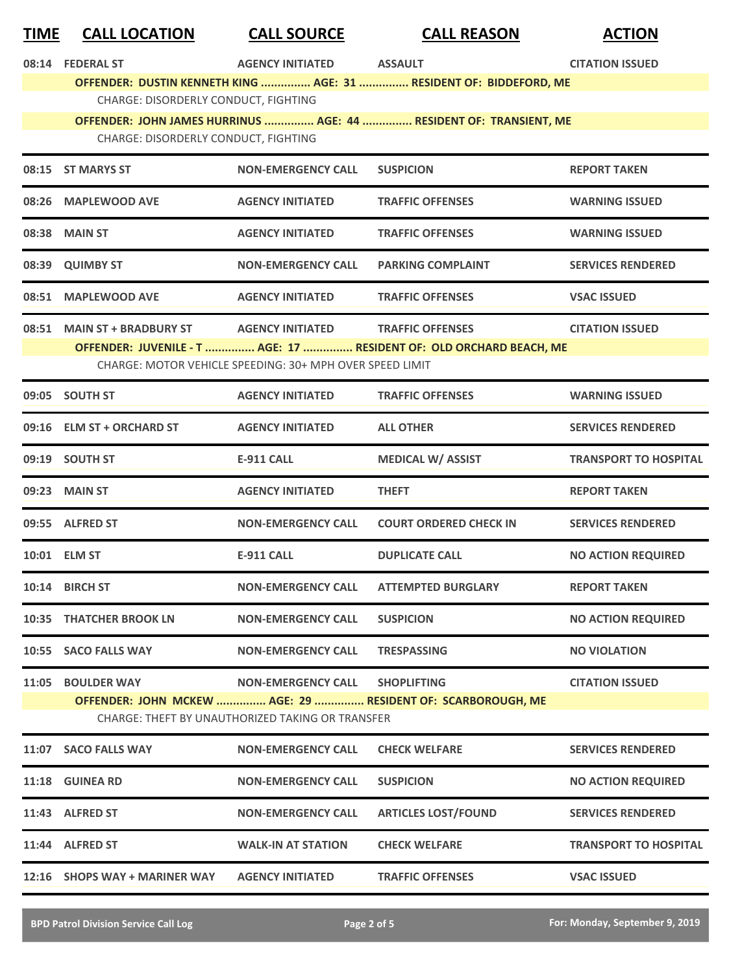| TIME                                                                                                            | <b>CALL LOCATION</b>                 | <b>CALL SOURCE</b>                                       | <b>CALL REASON</b>                                                  | <b>ACTION</b>                |
|-----------------------------------------------------------------------------------------------------------------|--------------------------------------|----------------------------------------------------------|---------------------------------------------------------------------|------------------------------|
|                                                                                                                 | 08:14 FEDERAL ST                     | <b>AGENCY INITIATED</b>                                  | <b>ASSAULT</b>                                                      | <b>CITATION ISSUED</b>       |
|                                                                                                                 | CHARGE: DISORDERLY CONDUCT, FIGHTING |                                                          | OFFENDER: DUSTIN KENNETH KING  AGE: 31  RESIDENT OF: BIDDEFORD, ME  |                              |
|                                                                                                                 |                                      |                                                          | OFFENDER: JOHN JAMES HURRINUS  AGE: 44  RESIDENT OF: TRANSIENT, ME  |                              |
|                                                                                                                 | CHARGE: DISORDERLY CONDUCT, FIGHTING |                                                          |                                                                     |                              |
|                                                                                                                 | 08:15 ST MARYS ST                    | <b>NON-EMERGENCY CALL</b>                                | <b>SUSPICION</b>                                                    | <b>REPORT TAKEN</b>          |
|                                                                                                                 | 08:26 MAPLEWOOD AVE                  | <b>AGENCY INITIATED</b>                                  | <b>TRAFFIC OFFENSES</b>                                             | <b>WARNING ISSUED</b>        |
|                                                                                                                 | 08:38 MAIN ST                        | <b>AGENCY INITIATED</b>                                  | <b>TRAFFIC OFFENSES</b>                                             | <b>WARNING ISSUED</b>        |
|                                                                                                                 | 08:39 QUIMBY ST                      | <b>NON-EMERGENCY CALL</b>                                | <b>PARKING COMPLAINT</b>                                            | <b>SERVICES RENDERED</b>     |
|                                                                                                                 | 08:51 MAPLEWOOD AVE                  | <b>AGENCY INITIATED</b>                                  | <b>TRAFFIC OFFENSES</b>                                             | <b>VSAC ISSUED</b>           |
|                                                                                                                 | 08:51 MAIN ST + BRADBURY ST          | <b>AGENCY INITIATED</b>                                  | <b>TRAFFIC OFFENSES</b>                                             | <b>CITATION ISSUED</b>       |
|                                                                                                                 |                                      | CHARGE: MOTOR VEHICLE SPEEDING: 30+ MPH OVER SPEED LIMIT | OFFENDER: JUVENILE - T  AGE: 17  RESIDENT OF: OLD ORCHARD BEACH, ME |                              |
|                                                                                                                 | 09:05 SOUTH ST                       | <b>AGENCY INITIATED</b>                                  | <b>TRAFFIC OFFENSES</b>                                             | <b>WARNING ISSUED</b>        |
|                                                                                                                 |                                      |                                                          |                                                                     |                              |
|                                                                                                                 | 09:16 ELM ST + ORCHARD ST            | <b>AGENCY INITIATED</b>                                  | <b>ALL OTHER</b>                                                    | <b>SERVICES RENDERED</b>     |
|                                                                                                                 | 09:19 SOUTH ST                       | <b>E-911 CALL</b>                                        | <b>MEDICAL W/ ASSIST</b>                                            | <b>TRANSPORT TO HOSPITAL</b> |
|                                                                                                                 | 09:23 MAIN ST                        | <b>AGENCY INITIATED</b>                                  | <b>THEFT</b>                                                        | <b>REPORT TAKEN</b>          |
|                                                                                                                 | 09:55 ALFRED ST                      | <b>NON-EMERGENCY CALL</b>                                | <b>COURT ORDERED CHECK IN</b>                                       | <b>SERVICES RENDERED</b>     |
|                                                                                                                 | 10:01 ELM ST                         | <b>E-911 CALL</b>                                        | <b>DUPLICATE CALL</b>                                               | <b>NO ACTION REQUIRED</b>    |
|                                                                                                                 | 10:14 BIRCH ST                       | <b>NON-EMERGENCY CALL</b>                                | <b>ATTEMPTED BURGLARY</b>                                           | <b>REPORT TAKEN</b>          |
|                                                                                                                 | <b>10:35 THATCHER BROOK LN</b>       | <b>NON-EMERGENCY CALL</b>                                | <b>SUSPICION</b>                                                    | <b>NO ACTION REQUIRED</b>    |
|                                                                                                                 | 10:55 SACO FALLS WAY                 | <b>NON-EMERGENCY CALL</b>                                | <b>TRESPASSING</b>                                                  | <b>NO VIOLATION</b>          |
|                                                                                                                 | 11:05 BOULDER WAY                    | <b>NON-EMERGENCY CALL</b>                                | <b>SHOPLIFTING</b>                                                  | <b>CITATION ISSUED</b>       |
| OFFENDER: JOHN MCKEW  AGE: 29  RESIDENT OF: SCARBOROUGH, ME<br>CHARGE: THEFT BY UNAUTHORIZED TAKING OR TRANSFER |                                      |                                                          |                                                                     |                              |
|                                                                                                                 | 11:07 SACO FALLS WAY                 | <b>NON-EMERGENCY CALL</b>                                | <b>CHECK WELFARE</b>                                                | <b>SERVICES RENDERED</b>     |
|                                                                                                                 | 11:18 GUINEA RD                      | <b>NON-EMERGENCY CALL</b>                                | <b>SUSPICION</b>                                                    | <b>NO ACTION REQUIRED</b>    |
|                                                                                                                 | 11:43 ALFRED ST                      | <b>NON-EMERGENCY CALL</b>                                | <b>ARTICLES LOST/FOUND</b>                                          | <b>SERVICES RENDERED</b>     |
|                                                                                                                 | 11:44 ALFRED ST                      | <b>WALK-IN AT STATION</b>                                | <b>CHECK WELFARE</b>                                                | <b>TRANSPORT TO HOSPITAL</b> |
|                                                                                                                 | 12:16 SHOPS WAY + MARINER WAY        | <b>AGENCY INITIATED</b>                                  | <b>TRAFFIC OFFENSES</b>                                             | <b>VSAC ISSUED</b>           |
|                                                                                                                 |                                      |                                                          |                                                                     |                              |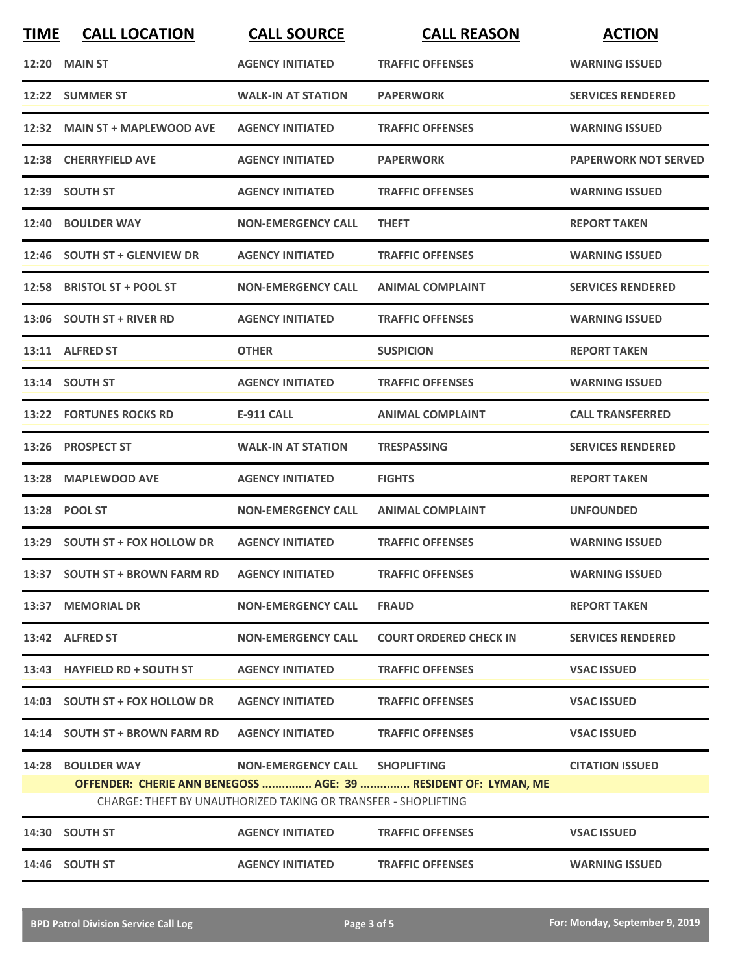| <b>TIME</b> | <b>CALL LOCATION</b>                                                                                                             | <b>CALL SOURCE</b>        | <b>CALL REASON</b>            | <b>ACTION</b>               |  |
|-------------|----------------------------------------------------------------------------------------------------------------------------------|---------------------------|-------------------------------|-----------------------------|--|
|             | <b>12:20 MAIN ST</b>                                                                                                             | <b>AGENCY INITIATED</b>   | <b>TRAFFIC OFFENSES</b>       | <b>WARNING ISSUED</b>       |  |
|             | 12:22 SUMMER ST                                                                                                                  | <b>WALK-IN AT STATION</b> | <b>PAPERWORK</b>              | <b>SERVICES RENDERED</b>    |  |
|             | 12:32 MAIN ST + MAPLEWOOD AVE                                                                                                    | <b>AGENCY INITIATED</b>   | <b>TRAFFIC OFFENSES</b>       | <b>WARNING ISSUED</b>       |  |
|             | 12:38 CHERRYFIELD AVE                                                                                                            | <b>AGENCY INITIATED</b>   | <b>PAPERWORK</b>              | <b>PAPERWORK NOT SERVED</b> |  |
|             | 12:39 SOUTH ST                                                                                                                   | <b>AGENCY INITIATED</b>   | <b>TRAFFIC OFFENSES</b>       | <b>WARNING ISSUED</b>       |  |
|             | 12:40 BOULDER WAY                                                                                                                | <b>NON-EMERGENCY CALL</b> | <b>THEFT</b>                  | <b>REPORT TAKEN</b>         |  |
|             | 12:46 SOUTH ST + GLENVIEW DR                                                                                                     | <b>AGENCY INITIATED</b>   | <b>TRAFFIC OFFENSES</b>       | <b>WARNING ISSUED</b>       |  |
|             | 12:58 BRISTOL ST + POOL ST                                                                                                       | <b>NON-EMERGENCY CALL</b> | <b>ANIMAL COMPLAINT</b>       | <b>SERVICES RENDERED</b>    |  |
|             | 13:06 SOUTH ST + RIVER RD                                                                                                        | <b>AGENCY INITIATED</b>   | <b>TRAFFIC OFFENSES</b>       | <b>WARNING ISSUED</b>       |  |
|             | 13:11 ALFRED ST                                                                                                                  | <b>OTHER</b>              | <b>SUSPICION</b>              | <b>REPORT TAKEN</b>         |  |
|             | 13:14 SOUTH ST                                                                                                                   | <b>AGENCY INITIATED</b>   | <b>TRAFFIC OFFENSES</b>       | <b>WARNING ISSUED</b>       |  |
|             | <b>13:22 FORTUNES ROCKS RD</b>                                                                                                   | <b>E-911 CALL</b>         | <b>ANIMAL COMPLAINT</b>       | <b>CALL TRANSFERRED</b>     |  |
| 13:26       | <b>PROSPECT ST</b>                                                                                                               | <b>WALK-IN AT STATION</b> | <b>TRESPASSING</b>            | <b>SERVICES RENDERED</b>    |  |
|             | 13:28 MAPLEWOOD AVE                                                                                                              | <b>AGENCY INITIATED</b>   | <b>FIGHTS</b>                 | <b>REPORT TAKEN</b>         |  |
|             | 13:28 POOL ST                                                                                                                    | <b>NON-EMERGENCY CALL</b> | <b>ANIMAL COMPLAINT</b>       | <b>UNFOUNDED</b>            |  |
|             | 13:29 SOUTH ST + FOX HOLLOW DR                                                                                                   | <b>AGENCY INITIATED</b>   | <b>TRAFFIC OFFENSES</b>       | <b>WARNING ISSUED</b>       |  |
|             | 13:37 SOUTH ST + BROWN FARM RD                                                                                                   | <b>AGENCY INITIATED</b>   | <b>TRAFFIC OFFENSES</b>       | <b>WARNING ISSUED</b>       |  |
|             | 13:37 MEMORIAL DR                                                                                                                | <b>NON-EMERGENCY CALL</b> | <b>FRAUD</b>                  | <b>REPORT TAKEN</b>         |  |
|             | 13:42 ALFRED ST                                                                                                                  | <b>NON-EMERGENCY CALL</b> | <b>COURT ORDERED CHECK IN</b> | <b>SERVICES RENDERED</b>    |  |
|             | 13:43 HAYFIELD RD + SOUTH ST                                                                                                     | <b>AGENCY INITIATED</b>   | <b>TRAFFIC OFFENSES</b>       | <b>VSAC ISSUED</b>          |  |
|             | 14:03 SOUTH ST + FOX HOLLOW DR                                                                                                   | <b>AGENCY INITIATED</b>   | <b>TRAFFIC OFFENSES</b>       | <b>VSAC ISSUED</b>          |  |
|             | 14:14 SOUTH ST + BROWN FARM RD                                                                                                   | <b>AGENCY INITIATED</b>   | <b>TRAFFIC OFFENSES</b>       | <b>VSAC ISSUED</b>          |  |
|             | <b>14:28 BOULDER WAY</b>                                                                                                         | <b>NON-EMERGENCY CALL</b> | <b>SHOPLIFTING</b>            | <b>CITATION ISSUED</b>      |  |
|             | OFFENDER: CHERIE ANN BENEGOSS  AGE: 39  RESIDENT OF: LYMAN, ME<br>CHARGE: THEFT BY UNAUTHORIZED TAKING OR TRANSFER - SHOPLIFTING |                           |                               |                             |  |
|             | 14:30 SOUTH ST                                                                                                                   | <b>AGENCY INITIATED</b>   | <b>TRAFFIC OFFENSES</b>       | <b>VSAC ISSUED</b>          |  |
|             | 14:46 SOUTH ST                                                                                                                   | <b>AGENCY INITIATED</b>   | <b>TRAFFIC OFFENSES</b>       | <b>WARNING ISSUED</b>       |  |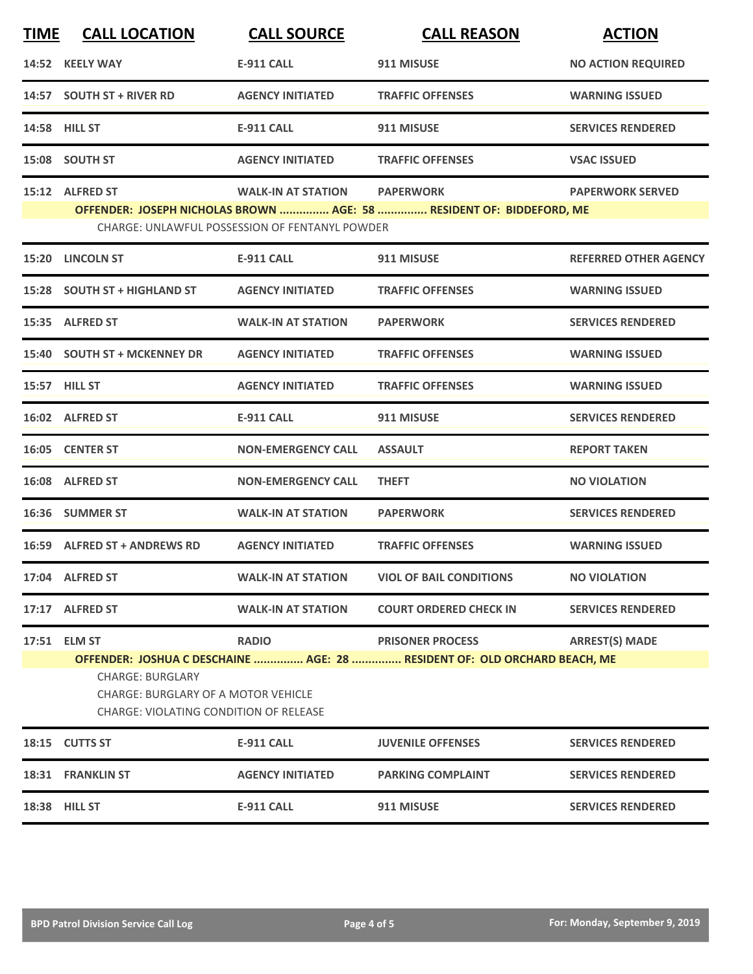| <b>TIME</b>                                                                                                                                                                                  | <b>CALL LOCATION</b>         | <b>CALL SOURCE</b>                                                          | <b>CALL REASON</b>                                                                       | <b>ACTION</b>                |
|----------------------------------------------------------------------------------------------------------------------------------------------------------------------------------------------|------------------------------|-----------------------------------------------------------------------------|------------------------------------------------------------------------------------------|------------------------------|
|                                                                                                                                                                                              | 14:52 KEELY WAY              | <b>E-911 CALL</b>                                                           | 911 MISUSE                                                                               | <b>NO ACTION REQUIRED</b>    |
|                                                                                                                                                                                              | 14:57 SOUTH ST + RIVER RD    | <b>AGENCY INITIATED</b>                                                     | <b>TRAFFIC OFFENSES</b>                                                                  | <b>WARNING ISSUED</b>        |
|                                                                                                                                                                                              | 14:58 HILL ST                | <b>E-911 CALL</b>                                                           | 911 MISUSE                                                                               | <b>SERVICES RENDERED</b>     |
|                                                                                                                                                                                              | 15:08 SOUTH ST               | <b>AGENCY INITIATED</b>                                                     | <b>TRAFFIC OFFENSES</b>                                                                  | <b>VSAC ISSUED</b>           |
|                                                                                                                                                                                              | 15:12 ALFRED ST              | <b>WALK-IN AT STATION</b><br>CHARGE: UNLAWFUL POSSESSION OF FENTANYL POWDER | <b>PAPERWORK</b><br>OFFENDER: JOSEPH NICHOLAS BROWN  AGE: 58  RESIDENT OF: BIDDEFORD, ME | <b>PAPERWORK SERVED</b>      |
|                                                                                                                                                                                              | 15:20 LINCOLN ST             | <b>E-911 CALL</b>                                                           | 911 MISUSE                                                                               | <b>REFERRED OTHER AGENCY</b> |
|                                                                                                                                                                                              | 15:28 SOUTH ST + HIGHLAND ST | <b>AGENCY INITIATED</b>                                                     | <b>TRAFFIC OFFENSES</b>                                                                  | <b>WARNING ISSUED</b>        |
|                                                                                                                                                                                              | 15:35 ALFRED ST              | <b>WALK-IN AT STATION</b>                                                   | <b>PAPERWORK</b>                                                                         | <b>SERVICES RENDERED</b>     |
|                                                                                                                                                                                              | 15:40 SOUTH ST + MCKENNEY DR | <b>AGENCY INITIATED</b>                                                     | <b>TRAFFIC OFFENSES</b>                                                                  | <b>WARNING ISSUED</b>        |
|                                                                                                                                                                                              | 15:57 HILL ST                | <b>AGENCY INITIATED</b>                                                     | <b>TRAFFIC OFFENSES</b>                                                                  | <b>WARNING ISSUED</b>        |
|                                                                                                                                                                                              | 16:02 ALFRED ST              | <b>E-911 CALL</b>                                                           | 911 MISUSE                                                                               | <b>SERVICES RENDERED</b>     |
|                                                                                                                                                                                              | 16:05 CENTER ST              | <b>NON-EMERGENCY CALL</b>                                                   | <b>ASSAULT</b>                                                                           | <b>REPORT TAKEN</b>          |
|                                                                                                                                                                                              | 16:08 ALFRED ST              | <b>NON-EMERGENCY CALL</b>                                                   | <b>THEFT</b>                                                                             | <b>NO VIOLATION</b>          |
|                                                                                                                                                                                              | 16:36 SUMMER ST              | <b>WALK-IN AT STATION</b>                                                   | <b>PAPERWORK</b>                                                                         | <b>SERVICES RENDERED</b>     |
|                                                                                                                                                                                              | 16:59 ALFRED ST + ANDREWS RD | <b>AGENCY INITIATED</b>                                                     | <b>TRAFFIC OFFENSES</b>                                                                  | <b>WARNING ISSUED</b>        |
|                                                                                                                                                                                              | 17:04 ALFRED ST              | <b>WALK-IN AT STATION</b>                                                   | <b>VIOL OF BAIL CONDITIONS</b>                                                           | <b>NO VIOLATION</b>          |
|                                                                                                                                                                                              | 17:17 ALFRED ST              | <b>WALK-IN AT STATION</b>                                                   | <b>COURT ORDERED CHECK IN</b>                                                            | <b>SERVICES RENDERED</b>     |
|                                                                                                                                                                                              | 17:51 ELM ST                 | <b>RADIO</b>                                                                | <b>PRISONER PROCESS</b>                                                                  | <b>ARREST(S) MADE</b>        |
| OFFENDER: JOSHUA C DESCHAINE  AGE: 28  RESIDENT OF: OLD ORCHARD BEACH, ME<br><b>CHARGE: BURGLARY</b><br><b>CHARGE: BURGLARY OF A MOTOR VEHICLE</b><br>CHARGE: VIOLATING CONDITION OF RELEASE |                              |                                                                             |                                                                                          |                              |
|                                                                                                                                                                                              | 18:15 CUTTS ST               | <b>E-911 CALL</b>                                                           | <b>JUVENILE OFFENSES</b>                                                                 | <b>SERVICES RENDERED</b>     |
|                                                                                                                                                                                              | 18:31 FRANKLIN ST            | <b>AGENCY INITIATED</b>                                                     | <b>PARKING COMPLAINT</b>                                                                 | <b>SERVICES RENDERED</b>     |
|                                                                                                                                                                                              | 18:38 HILL ST                | <b>E-911 CALL</b>                                                           | 911 MISUSE                                                                               | <b>SERVICES RENDERED</b>     |